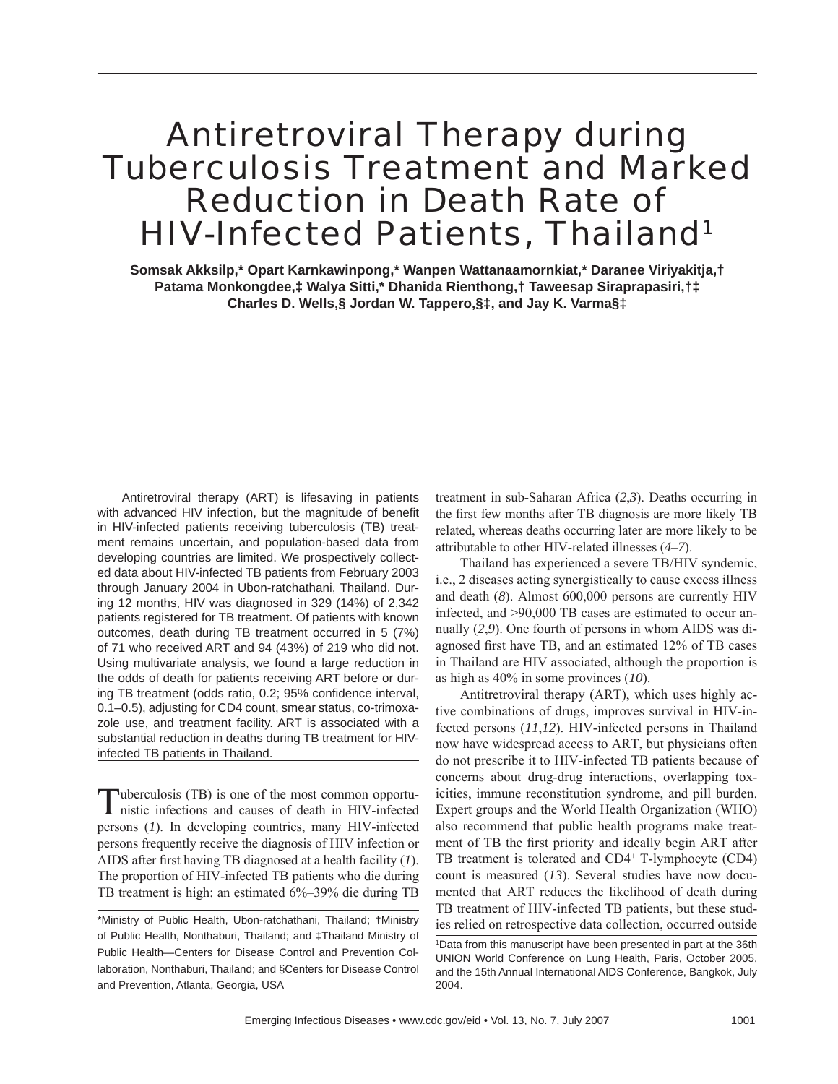# Antiretroviral Therapy during Tuberculosis Treatment and Marked Reduction in Death Rate of HIV-Infected Patients, Thailand<sup>1</sup>

**Somsak Akksilp,\* Opart Karnkawinpong,\* Wanpen Wattanaamornkiat,\* Daranee Viriyakitja,† Patama Monkongdee,‡ Walya Sitti,\* Dhanida Rienthong,† Taweesap Siraprapasiri,†‡ Charles D. Wells,§ Jordan W. Tappero,§‡, and Jay K. Varma§‡**

Antiretroviral therapy (ART) is lifesaving in patients with advanced HIV infection, but the magnitude of benefit in HIV-infected patients receiving tuberculosis (TB) treatment remains uncertain, and population-based data from developing countries are limited. We prospectively collected data about HIV-infected TB patients from February 2003 through January 2004 in Ubon-ratchathani, Thailand. During 12 months, HIV was diagnosed in 329 (14%) of 2,342 patients registered for TB treatment. Of patients with known outcomes, death during TB treatment occurred in 5 (7%) of 71 who received ART and 94 (43%) of 219 who did not. Using multivariate analysis, we found a large reduction in the odds of death for patients receiving ART before or during TB treatment (odds ratio, 0.2; 95% confidence interval, 0.1–0.5), adjusting for CD4 count, smear status, co-trimoxazole use, and treatment facility. ART is associated with a substantial reduction in deaths during TB treatment for HIVinfected TB patients in Thailand.

Tuberculosis (TB) is one of the most common opportu-nistic infections and causes of death in HIV-infected persons (*1*). In developing countries, many HIV-infected persons frequently receive the diagnosis of HIV infection or AIDS after first having TB diagnosed at a health facility  $(1)$ . The proportion of HIV-infected TB patients who die during TB treatment is high: an estimated 6%–39% die during TB

treatment in sub-Saharan Africa (*2*,*3*). Deaths occurring in the first few months after TB diagnosis are more likely TB related, whereas deaths occurring later are more likely to be attributable to other HIV-related illnesses (*4*–*7*).

Thailand has experienced a severe TB/HIV syndemic, i.e., 2 diseases acting synergistically to cause excess illness and death (*8*). Almost 600,000 persons are currently HIV infected, and >90,000 TB cases are estimated to occur annually (*2*,*9*). One fourth of persons in whom AIDS was diagnosed first have TB, and an estimated 12% of TB cases in Thailand are HIV associated, although the proportion is as high as 40% in some provinces (*10*).

Antitretroviral therapy (ART), which uses highly active combinations of drugs, improves survival in HIV-infected persons (*11*,*12*). HIV-infected persons in Thailand now have widespread access to ART, but physicians often do not prescribe it to HIV-infected TB patients because of concerns about drug-drug interactions, overlapping toxicities, immune reconstitution syndrome, and pill burden. Expert groups and the World Health Organization (WHO) also recommend that public health programs make treatment of TB the first priority and ideally begin ART after TB treatment is tolerated and CD4<sup>+</sup> T-lymphocyte (CD4) count is measured (*13*). Several studies have now documented that ART reduces the likelihood of death during TB treatment of HIV-infected TB patients, but these studies relied on retrospective data collection, occurred outside

<sup>\*</sup>Ministry of Public Health, Ubon-ratchathani, Thailand; †Ministry of Public Health, Nonthaburi, Thailand; and ‡Thailand Ministry of Public Health—Centers for Disease Control and Prevention Collaboration, Nonthaburi, Thailand; and §Centers for Disease Control and Prevention, Atlanta, Georgia, USA

<sup>1</sup> Data from this manuscript have been presented in part at the 36th UNION World Conference on Lung Health, Paris, October 2005, and the 15th Annual International AIDS Conference, Bangkok, July 2004.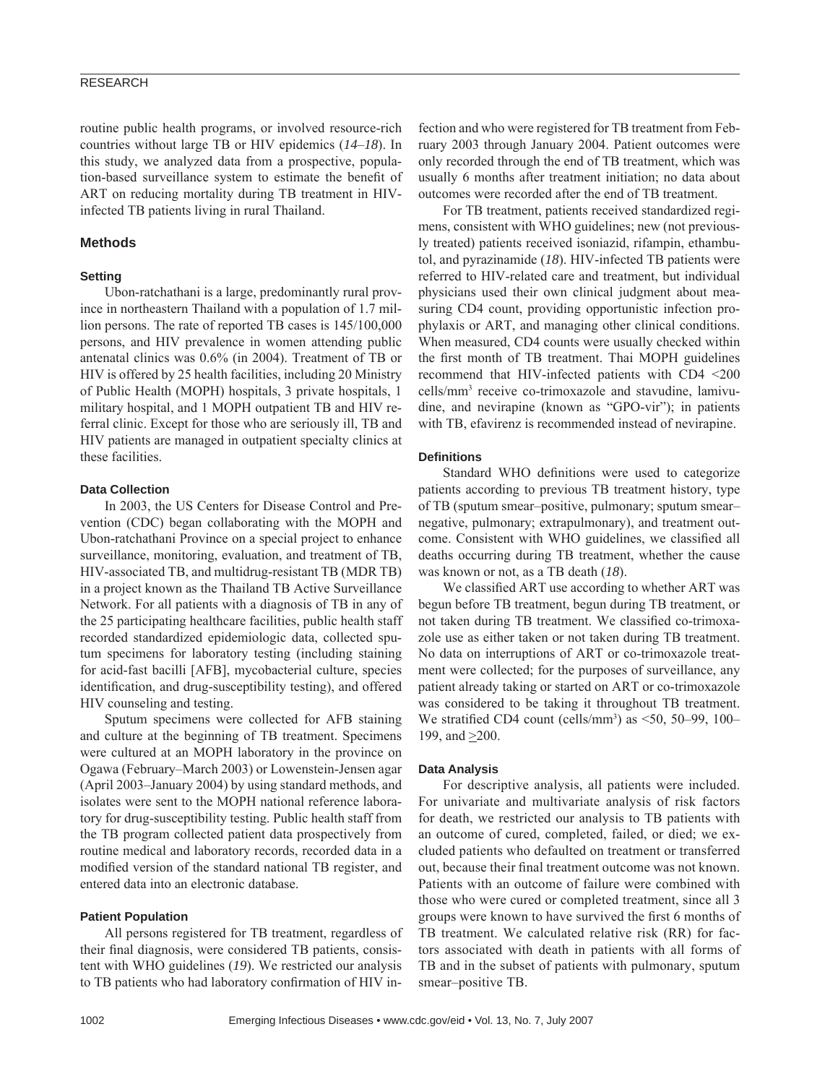## RESEARCH

routine public health programs, or involved resource-rich countries without large TB or HIV epidemics (*14*–*18*). In this study, we analyzed data from a prospective, population-based surveillance system to estimate the benefit of ART on reducing mortality during TB treatment in HIVinfected TB patients living in rural Thailand.

### **Methods**

### **Setting**

Ubon-ratchathani is a large, predominantly rural province in northeastern Thailand with a population of 1.7 million persons. The rate of reported TB cases is 145/100,000 persons, and HIV prevalence in women attending public antenatal clinics was 0.6% (in 2004). Treatment of TB or HIV is offered by 25 health facilities, including 20 Ministry of Public Health (MOPH) hospitals, 3 private hospitals, 1 military hospital, and 1 MOPH outpatient TB and HIV referral clinic. Except for those who are seriously ill, TB and HIV patients are managed in outpatient specialty clinics at these facilities.

## **Data Collection**

In 2003, the US Centers for Disease Control and Prevention (CDC) began collaborating with the MOPH and Ubon-ratchathani Province on a special project to enhance surveillance, monitoring, evaluation, and treatment of TB, HIV-associated TB, and multidrug-resistant TB (MDR TB) in a project known as the Thailand TB Active Surveillance Network. For all patients with a diagnosis of TB in any of the 25 participating healthcare facilities, public health staff recorded standardized epidemiologic data, collected sputum specimens for laboratory testing (including staining for acid-fast bacilli [AFB], mycobacterial culture, species identification, and drug-susceptibility testing), and offered HIV counseling and testing.

Sputum specimens were collected for AFB staining and culture at the beginning of TB treatment. Specimens were cultured at an MOPH laboratory in the province on Ogawa (February–March 2003) or Lowenstein-Jensen agar (April 2003–January 2004) by using standard methods, and isolates were sent to the MOPH national reference laboratory for drug-susceptibility testing. Public health staff from the TB program collected patient data prospectively from routine medical and laboratory records, recorded data in a modified version of the standard national TB register, and entered data into an electronic database.

## **Patient Population**

All persons registered for TB treatment, regardless of their final diagnosis, were considered TB patients, consistent with WHO guidelines (*19*). We restricted our analysis to TB patients who had laboratory confirmation of HIV infection and who were registered for TB treatment from February 2003 through January 2004. Patient outcomes were only recorded through the end of TB treatment, which was usually 6 months after treatment initiation; no data about outcomes were recorded after the end of TB treatment.

For TB treatment, patients received standardized regimens, consistent with WHO guidelines; new (not previously treated) patients received isoniazid, rifampin, ethambutol, and pyrazinamide (*18*). HIV-infected TB patients were referred to HIV-related care and treatment, but individual physicians used their own clinical judgment about measuring CD4 count, providing opportunistic infection prophylaxis or ART, and managing other clinical conditions. When measured, CD4 counts were usually checked within the first month of TB treatment. Thai MOPH guidelines recommend that HIV-infected patients with CD4 <200 cells/mm3 receive co-trimoxazole and stavudine, lamivudine, and nevirapine (known as "GPO-vir"); in patients with TB, efavirenz is recommended instead of nevirapine.

#### **Defi nitions**

Standard WHO definitions were used to categorize patients according to previous TB treatment history, type of TB (sputum smear–positive, pulmonary; sputum smear– negative, pulmonary; extrapulmonary), and treatment outcome. Consistent with WHO guidelines, we classified all deaths occurring during TB treatment, whether the cause was known or not, as a TB death (*18*).

We classified ART use according to whether ART was begun before TB treatment, begun during TB treatment, or not taken during TB treatment. We classified co-trimoxazole use as either taken or not taken during TB treatment. No data on interruptions of ART or co-trimoxazole treatment were collected; for the purposes of surveillance, any patient already taking or started on ART or co-trimoxazole was considered to be taking it throughout TB treatment. We stratified CD4 count (cells/mm<sup>3</sup>) as  $\leq 50$ , 50–99, 100– 199, and  $\geq$ 200.

#### **Data Analysis**

For descriptive analysis, all patients were included. For univariate and multivariate analysis of risk factors for death, we restricted our analysis to TB patients with an outcome of cured, completed, failed, or died; we excluded patients who defaulted on treatment or transferred out, because their final treatment outcome was not known. Patients with an outcome of failure were combined with those who were cured or completed treatment, since all 3 groups were known to have survived the first 6 months of TB treatment. We calculated relative risk (RR) for factors associated with death in patients with all forms of TB and in the subset of patients with pulmonary, sputum smear–positive TB.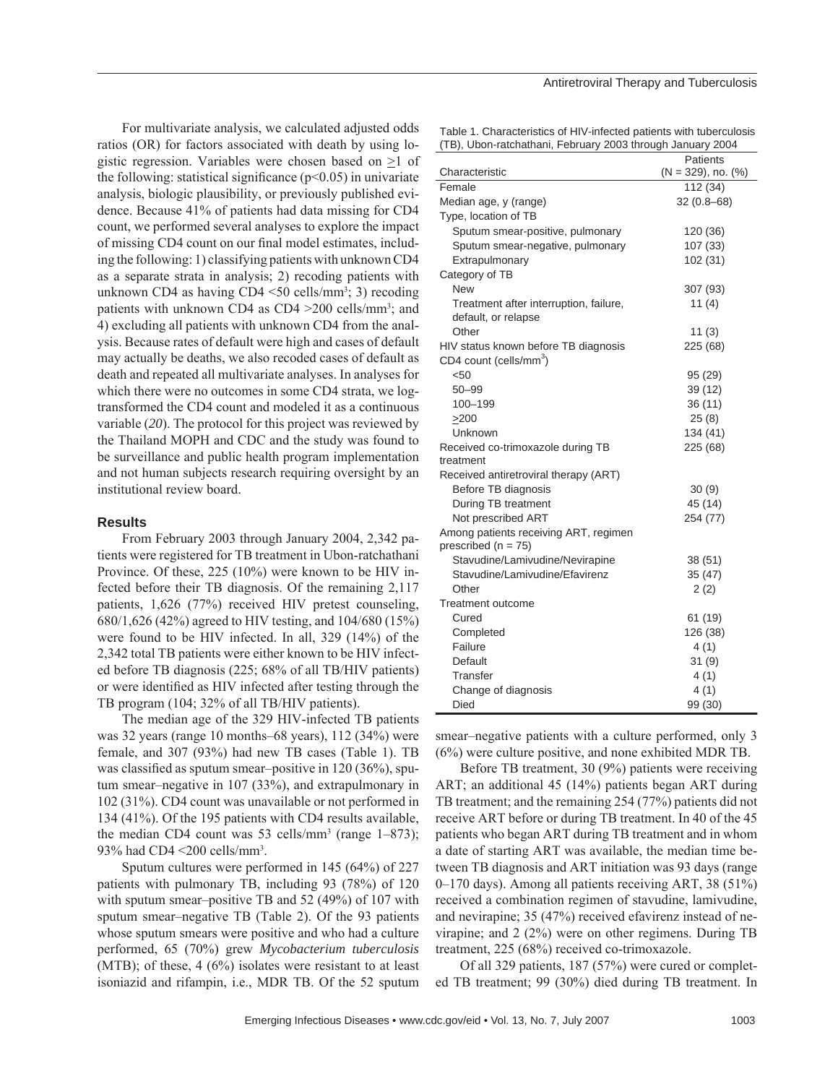For multivariate analysis, we calculated adjusted odds ratios (OR) for factors associated with death by using logistic regression. Variables were chosen based on >1 of the following: statistical significance ( $p<0.05$ ) in univariate analysis, biologic plausibility, or previously published evidence. Because 41% of patients had data missing for CD4 count, we performed several analyses to explore the impact of missing CD4 count on our final model estimates, including the following: 1) classifying patients with unknown CD4 as a separate strata in analysis; 2) recoding patients with unknown CD4 as having CD4 <50 cells/mm3 ; 3) recoding patients with unknown CD4 as  $CD4 > 200$  cells/mm<sup>3</sup>; and 4) excluding all patients with unknown CD4 from the analysis. Because rates of default were high and cases of default may actually be deaths, we also recoded cases of default as death and repeated all multivariate analyses. In analyses for which there were no outcomes in some CD4 strata, we logtransformed the CD4 count and modeled it as a continuous variable (*20*). The protocol for this project was reviewed by the Thailand MOPH and CDC and the study was found to be surveillance and public health program implementation and not human subjects research requiring oversight by an institutional review board.

## **Results**

From February 2003 through January 2004, 2,342 patients were registered for TB treatment in Ubon-ratchathani Province. Of these, 225 (10%) were known to be HIV infected before their TB diagnosis. Of the remaining 2,117 patients, 1,626 (77%) received HIV pretest counseling, 680/1,626 (42%) agreed to HIV testing, and 104/680 (15%) were found to be HIV infected. In all, 329 (14%) of the 2,342 total TB patients were either known to be HIV infected before TB diagnosis (225; 68% of all TB/HIV patients) or were identified as HIV infected after testing through the TB program (104; 32% of all TB/HIV patients).

The median age of the 329 HIV-infected TB patients was 32 years (range 10 months–68 years), 112 (34%) were female, and 307 (93%) had new TB cases (Table 1). TB was classified as sputum smear–positive in  $120 (36\%)$ , sputum smear–negative in 107 (33%), and extrapulmonary in 102 (31%). CD4 count was unavailable or not performed in 134 (41%). Of the 195 patients with CD4 results available, the median CD4 count was 53 cells/mm<sup>3</sup> (range  $1-873$ ); 93% had CD4 <200 cells/mm3 .

Sputum cultures were performed in 145 (64%) of 227 patients with pulmonary TB, including 93 (78%) of 120 with sputum smear–positive TB and 52 (49%) of 107 with sputum smear–negative TB (Table 2). Of the 93 patients whose sputum smears were positive and who had a culture performed, 65 (70%) grew *Mycobacterium tuberculosis* (MTB); of these,  $4(6%)$  isolates were resistant to at least isoniazid and rifampin, i.e., MDR TB. Of the 52 sputum

#### Antiretroviral Therapy and Tuberculosis

Table 1. Characteristics of HIV-infected patients with tuberculosis (TB), Ubon-ratchathani, February 2003 through January 2004

|                                                                  | Patients                   |
|------------------------------------------------------------------|----------------------------|
| Characteristic                                                   | $(N = 329)$ , no. $(\%)$   |
| Female                                                           | 112 (34)<br>$32(0.8 - 68)$ |
| Median age, y (range)                                            |                            |
| Type, location of TB                                             |                            |
| Sputum smear-positive, pulmonary                                 | 120 (36)                   |
| Sputum smear-negative, pulmonary                                 | 107 (33)                   |
| Extrapulmonary                                                   | 102 (31)                   |
| Category of TB<br><b>New</b>                                     |                            |
|                                                                  | 307 (93)                   |
| Treatment after interruption, failure,<br>default, or relapse    | 11 $(4)$                   |
| Other                                                            | 11(3)                      |
| HIV status known before TB diagnosis                             | 225 (68)                   |
| CD4 count (cells/mm <sup>3</sup> )                               |                            |
| < 50                                                             | 95 (29)                    |
| $50 - 99$                                                        | 39(12)                     |
| 100-199                                                          | 36 (11)                    |
| >200                                                             | 25(8)                      |
| Unknown                                                          | 134 (41)                   |
| Received co-trimoxazole during TB<br>treatment                   | 225 (68)                   |
| Received antiretroviral therapy (ART)                            |                            |
| Before TB diagnosis                                              | 30(9)                      |
| During TB treatment                                              | 45 (14)                    |
| Not prescribed ART                                               | 254 (77)                   |
| Among patients receiving ART, regimen<br>prescribed ( $n = 75$ ) |                            |
| Stavudine/Lamivudine/Nevirapine                                  | 38 (51)                    |
| Stavudine/Lamivudine/Efavirenz                                   | 35 (47)                    |
| Other                                                            | 2(2)                       |
| Treatment outcome                                                |                            |
| Cured                                                            | 61 (19)                    |
| Completed                                                        | 126 (38)                   |
| Failure                                                          | 4(1)                       |
| Default                                                          | 31(9)                      |
| Transfer                                                         | 4(1)                       |
| Change of diagnosis                                              | 4(1)                       |
| Died                                                             | 99 (30)                    |

smear–negative patients with a culture performed, only 3 (6%) were culture positive, and none exhibited MDR TB.

Before TB treatment, 30 (9%) patients were receiving ART; an additional 45 (14%) patients began ART during TB treatment; and the remaining 254 (77%) patients did not receive ART before or during TB treatment. In 40 of the 45 patients who began ART during TB treatment and in whom a date of starting ART was available, the median time between TB diagnosis and ART initiation was 93 days (range 0–170 days). Among all patients receiving ART, 38 (51%) received a combination regimen of stavudine, lamivudine, and nevirapine; 35 (47%) received efavirenz instead of nevirapine; and 2 (2%) were on other regimens. During TB treatment, 225 (68%) received co-trimoxazole.

Of all 329 patients, 187 (57%) were cured or completed TB treatment; 99 (30%) died during TB treatment. In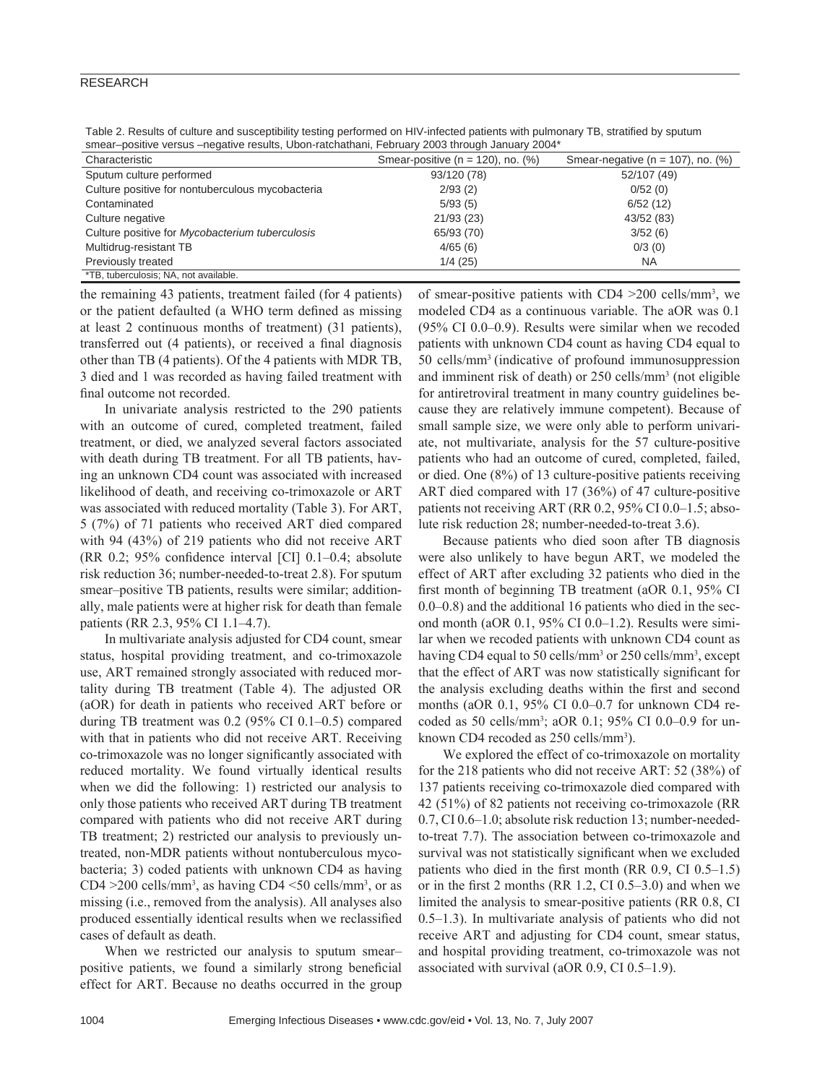## RESEARCH

Table 2. Results of culture and susceptibility testing performed on HIV-infected patients with pulmonary TB, stratified by sputum smear–positive versus –negative results, Ubon-ratchathani, February 2003 through January 2004\*

| Characteristic                                   | Smear-positive ( $n = 120$ ), no. (%) | Smear-negative ( $n = 107$ ), no. (%) |
|--------------------------------------------------|---------------------------------------|---------------------------------------|
| Sputum culture performed                         | 93/120 (78)                           | 52/107 (49)                           |
| Culture positive for nontuberculous mycobacteria | 2/93(2)                               | 0/52(0)                               |
| Contaminated                                     | 5/93(5)                               | 6/52(12)                              |
| Culture negative                                 | 21/93(23)                             | 43/52 (83)                            |
| Culture positive for Mycobacterium tuberculosis  | 65/93 (70)                            | 3/52(6)                               |
| Multidrug-resistant TB                           | 4/65(6)                               | 0/3(0)                                |
| Previously treated                               | 1/4(25)                               | <b>NA</b>                             |
| *TB, tuberculosis; NA, not available.            |                                       |                                       |

the remaining 43 patients, treatment failed (for 4 patients) or the patient defaulted (a WHO term defined as missing at least 2 continuous months of treatment) (31 patients), transferred out (4 patients), or received a final diagnosis other than TB (4 patients). Of the 4 patients with MDR TB, 3 died and 1 was recorded as having failed treatment with final outcome not recorded.

In univariate analysis restricted to the 290 patients with an outcome of cured, completed treatment, failed treatment, or died, we analyzed several factors associated with death during TB treatment. For all TB patients, having an unknown CD4 count was associated with increased likelihood of death, and receiving co-trimoxazole or ART was associated with reduced mortality (Table 3). For ART, 5 (7%) of 71 patients who received ART died compared with 94 (43%) of 219 patients who did not receive ART (RR 0.2;  $95\%$  confidence interval [CI] 0.1–0.4; absolute risk reduction 36; number-needed-to-treat 2.8). For sputum smear–positive TB patients, results were similar; additionally, male patients were at higher risk for death than female patients (RR 2.3, 95% CI 1.1–4.7).

In multivariate analysis adjusted for CD4 count, smear status, hospital providing treatment, and co-trimoxazole use, ART remained strongly associated with reduced mortality during TB treatment (Table 4). The adjusted OR (aOR) for death in patients who received ART before or during TB treatment was 0.2 (95% CI 0.1–0.5) compared with that in patients who did not receive ART. Receiving co-trimoxazole was no longer significantly associated with reduced mortality. We found virtually identical results when we did the following: 1) restricted our analysis to only those patients who received ART during TB treatment compared with patients who did not receive ART during TB treatment; 2) restricted our analysis to previously untreated, non-MDR patients without nontuberculous mycobacteria; 3) coded patients with unknown CD4 as having CD4  $>$ 200 cells/mm<sup>3</sup>, as having CD4  $<$ 50 cells/mm<sup>3</sup>, or as missing (i.e., removed from the analysis). All analyses also produced essentially identical results when we reclassified cases of default as death.

When we restricted our analysis to sputum smear– positive patients, we found a similarly strong beneficial effect for ART. Because no deaths occurred in the group

of smear-positive patients with CD4 >200 cells/mm3 , we modeled CD4 as a continuous variable. The aOR was 0.1 (95% CI 0.0–0.9). Results were similar when we recoded patients with unknown CD4 count as having CD4 equal to 50 cells/mm3 (indicative of profound immunosuppression and imminent risk of death) or 250 cells/mm3 (not eligible for antiretroviral treatment in many country guidelines because they are relatively immune competent). Because of small sample size, we were only able to perform univariate, not multivariate, analysis for the 57 culture-positive patients who had an outcome of cured, completed, failed, or died. One (8%) of 13 culture-positive patients receiving ART died compared with 17 (36%) of 47 culture-positive patients not receiving ART (RR 0.2, 95% CI 0.0–1.5; absolute risk reduction 28; number-needed-to-treat 3.6).

Because patients who died soon after TB diagnosis were also unlikely to have begun ART, we modeled the effect of ART after excluding 32 patients who died in the first month of beginning TB treatment (aOR  $0.1$ , 95% CI 0.0–0.8) and the additional 16 patients who died in the second month (aOR 0.1, 95% CI 0.0–1.2). Results were similar when we recoded patients with unknown CD4 count as having CD4 equal to 50 cells/mm<sup>3</sup> or 250 cells/mm<sup>3</sup>, except that the effect of ART was now statistically significant for the analysis excluding deaths within the first and second months (aOR 0.1, 95% CI 0.0–0.7 for unknown CD4 recoded as 50 cells/mm3 ; aOR 0.1; 95% CI 0.0–0.9 for unknown CD4 recoded as 250 cells/mm<sup>3</sup>).

We explored the effect of co-trimoxazole on mortality for the 218 patients who did not receive ART: 52 (38%) of 137 patients receiving co-trimoxazole died compared with 42 (51%) of 82 patients not receiving co-trimoxazole (RR 0.7, CI 0.6–1.0; absolute risk reduction 13; number-neededto-treat 7.7). The association between co-trimoxazole and survival was not statistically significant when we excluded patients who died in the first month (RR  $0.9$ , CI  $0.5-1.5$ ) or in the first 2 months (RR  $1.2$ , CI  $0.5-3.0$ ) and when we limited the analysis to smear-positive patients (RR 0.8, CI 0.5–1.3). In multivariate analysis of patients who did not receive ART and adjusting for CD4 count, smear status, and hospital providing treatment, co-trimoxazole was not associated with survival (aOR 0.9, CI 0.5–1.9).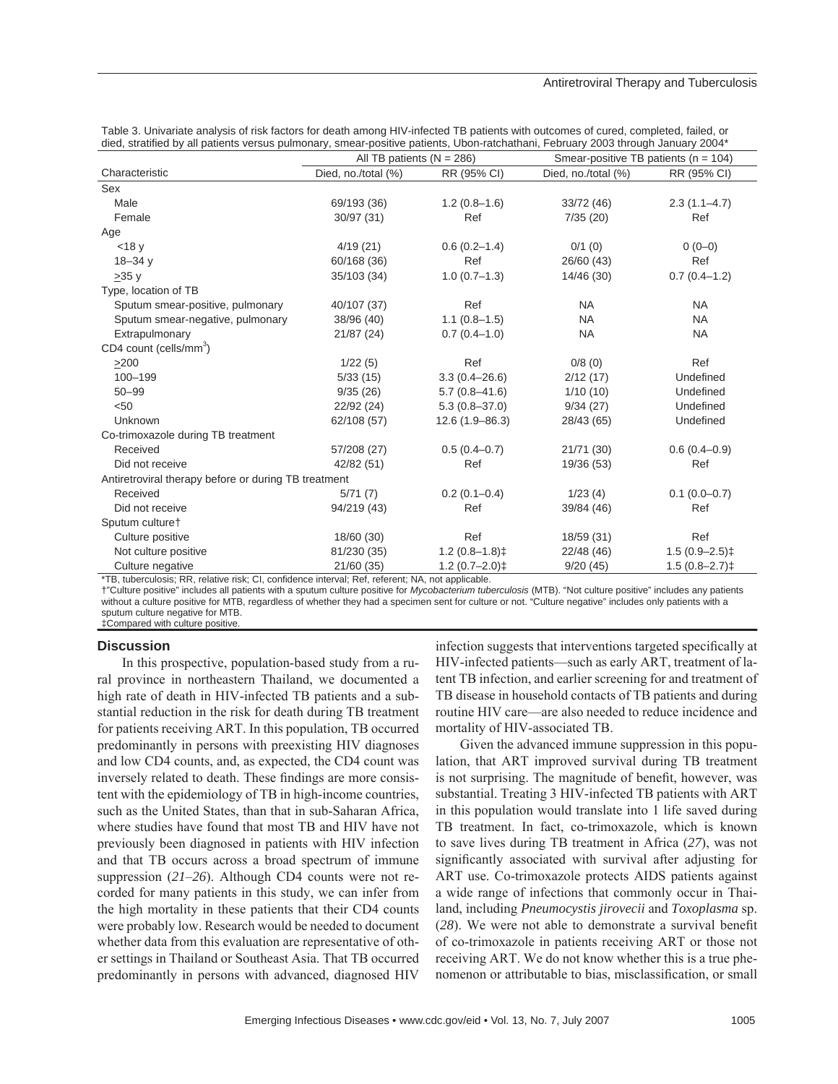| died, stratified by all patients versus pullfionary, smear-positive patients, Obon-ratchatriam, February 2003 through January 2004 |                             |                    |                                          |                    |  |  |
|------------------------------------------------------------------------------------------------------------------------------------|-----------------------------|--------------------|------------------------------------------|--------------------|--|--|
|                                                                                                                                    | All TB patients $(N = 286)$ |                    | Smear-positive TB patients ( $n = 104$ ) |                    |  |  |
| Characteristic                                                                                                                     | Died, no./total (%)         | RR (95% CI)        | Died, no./total (%)                      | RR (95% CI)        |  |  |
| Sex                                                                                                                                |                             |                    |                                          |                    |  |  |
| Male                                                                                                                               | 69/193 (36)                 | $1.2(0.8-1.6)$     | 33/72 (46)                               | $2.3(1.1-4.7)$     |  |  |
| Female                                                                                                                             | 30/97 (31)                  | Ref                | 7/35(20)                                 | Ref                |  |  |
| Age                                                                                                                                |                             |                    |                                          |                    |  |  |
| $<$ 18 $v$                                                                                                                         | 4/19(21)                    | $0.6(0.2-1.4)$     | 0/1(0)                                   | $0(0-0)$           |  |  |
| $18 - 34$ y                                                                                                                        | 60/168 (36)                 | Ref                | 26/60 (43)                               | Ref                |  |  |
| >35y                                                                                                                               | 35/103 (34)                 | $1.0(0.7-1.3)$     | 14/46 (30)                               | $0.7(0.4-1.2)$     |  |  |
| Type, location of TB                                                                                                               |                             |                    |                                          |                    |  |  |
| Sputum smear-positive, pulmonary                                                                                                   | 40/107 (37)                 | Ref                | <b>NA</b>                                | <b>NA</b>          |  |  |
| Sputum smear-negative, pulmonary                                                                                                   | 38/96 (40)                  | $1.1(0.8-1.5)$     | <b>NA</b>                                | <b>NA</b>          |  |  |
| Extrapulmonary                                                                                                                     | 21/87 (24)                  | $0.7(0.4-1.0)$     | <b>NA</b>                                | <b>NA</b>          |  |  |
| CD4 count (cells/mm <sup>3</sup> )                                                                                                 |                             |                    |                                          |                    |  |  |
| $>200$                                                                                                                             | 1/22(5)                     | Ref                | 0/8(0)                                   | Ref                |  |  |
| 100-199                                                                                                                            | 5/33(15)                    | $3.3(0.4 - 26.6)$  | 2/12(17)                                 | Undefined          |  |  |
| $50 - 99$                                                                                                                          | 9/35(26)                    | $5.7(0.8 - 41.6)$  | 1/10(10)                                 | Undefined          |  |  |
| < 50                                                                                                                               | 22/92 (24)                  | $5.3(0.8 - 37.0)$  | 9/34(27)                                 | Undefined          |  |  |
| Unknown                                                                                                                            | 62/108 (57)                 | $12.6(1.9 - 86.3)$ | 28/43 (65)                               | Undefined          |  |  |
| Co-trimoxazole during TB treatment                                                                                                 |                             |                    |                                          |                    |  |  |
| Received                                                                                                                           | 57/208 (27)                 | $0.5(0.4-0.7)$     | 21/71 (30)                               | $0.6(0.4-0.9)$     |  |  |
| Did not receive                                                                                                                    | 42/82 (51)                  | Ref                | 19/36 (53)                               | Ref                |  |  |
| Antiretroviral therapy before or during TB treatment                                                                               |                             |                    |                                          |                    |  |  |
| Received                                                                                                                           | 5/71(7)                     | $0.2(0.1-0.4)$     | 1/23(4)                                  | $0.1(0.0-0.7)$     |  |  |
| Did not receive                                                                                                                    | 94/219 (43)                 | Ref                | 39/84 (46)                               | Ref                |  |  |
| Sputum culture <sup>+</sup>                                                                                                        |                             |                    |                                          |                    |  |  |
| Culture positive                                                                                                                   | 18/60 (30)                  | Ref                | 18/59 (31)                               | Ref                |  |  |
| Not culture positive                                                                                                               | 81/230 (35)                 | $1.2(0.8-1.8)$     | 22/48 (46)                               | $1.5(0.9 - 2.5)$ ‡ |  |  |
| Culture negative                                                                                                                   | 21/60 (35)                  | $1.2(0.7-2.0)$ ‡   | 9/20(45)                                 | $1.5(0.8 - 2.7)$   |  |  |

| Table 3. Univariate analysis of risk factors for death among HIV-infected TB patients with outcomes of cured, completed, failed, or |  |
|-------------------------------------------------------------------------------------------------------------------------------------|--|
| died, stratified by all patients versus pulmonary, smear-positive patients, Ubon-ratchathani, February 2003 through January 2004*   |  |

\*TB, tuberculosis; RR, relative risk; CI, confidence interval; Ref, referent; NA, not applicable.

†"Culture positive" includes all patients with a sputum culture positive for *Mycobacterium tuberculosis* (MTB). "Not culture positive" includes any patients without a culture positive for MTB, regardless of whether they had a specimen sent for culture or not. "Culture negative" includes only patients with a sputum culture negative for MTB.

‡Compared with culture positive.

### **Discussion**

In this prospective, population-based study from a rural province in northeastern Thailand, we documented a high rate of death in HIV-infected TB patients and a substantial reduction in the risk for death during TB treatment for patients receiving ART. In this population, TB occurred predominantly in persons with preexisting HIV diagnoses and low CD4 counts, and, as expected, the CD4 count was inversely related to death. These findings are more consistent with the epidemiology of TB in high-income countries, such as the United States, than that in sub-Saharan Africa, where studies have found that most TB and HIV have not previously been diagnosed in patients with HIV infection and that TB occurs across a broad spectrum of immune suppression (*21*–*26*). Although CD4 counts were not recorded for many patients in this study, we can infer from the high mortality in these patients that their CD4 counts were probably low. Research would be needed to document whether data from this evaluation are representative of other settings in Thailand or Southeast Asia. That TB occurred predominantly in persons with advanced, diagnosed HIV

infection suggests that interventions targeted specifically at HIV-infected patients—such as early ART, treatment of latent TB infection, and earlier screening for and treatment of TB disease in household contacts of TB patients and during routine HIV care—are also needed to reduce incidence and mortality of HIV-associated TB.

Given the advanced immune suppression in this population, that ART improved survival during TB treatment is not surprising. The magnitude of benefit, however, was substantial. Treating 3 HIV-infected TB patients with ART in this population would translate into 1 life saved during TB treatment. In fact, co-trimoxazole, which is known to save lives during TB treatment in Africa (*27*), was not significantly associated with survival after adjusting for ART use. Co-trimoxazole protects AIDS patients against a wide range of infections that commonly occur in Thailand, including *Pneumocystis jirovecii* and *Toxoplasma* sp. (28). We were not able to demonstrate a survival benefit of co-trimoxazole in patients receiving ART or those not receiving ART. We do not know whether this is a true phenomenon or attributable to bias, misclassification, or small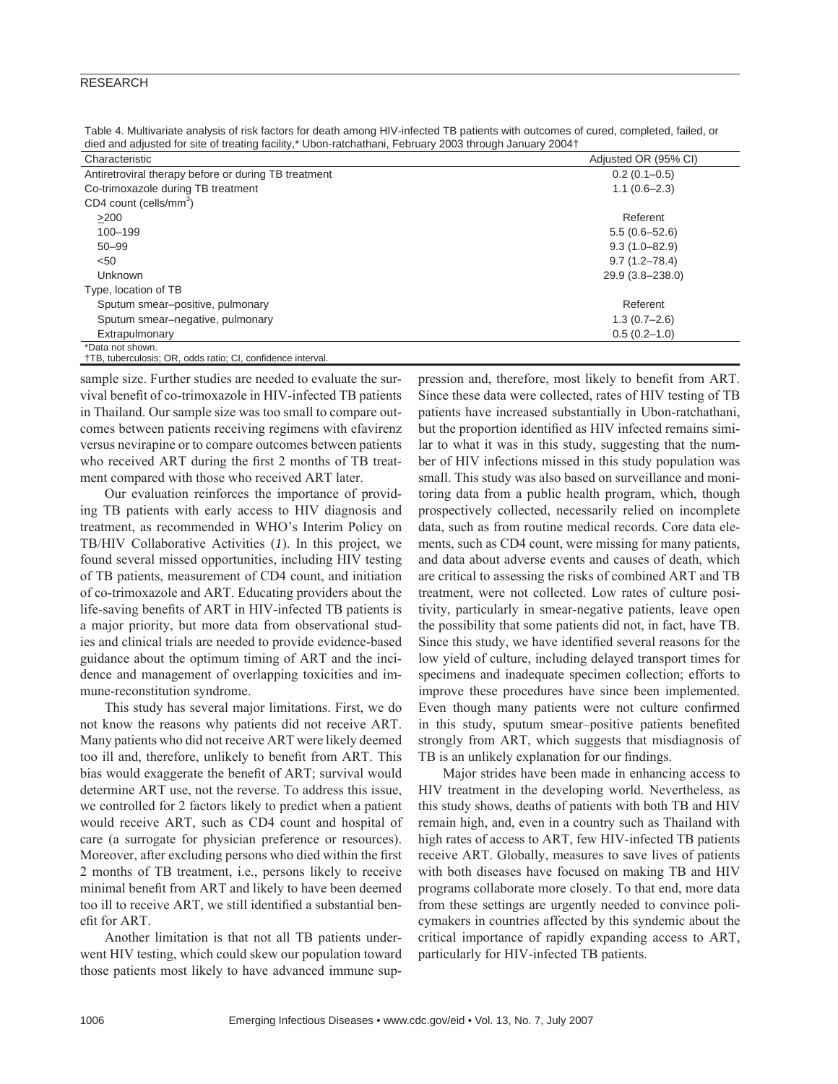## RESEARCH

Table 4. Multivariate analysis of risk factors for death among HIV-infected TB patients with outcomes of cured, completed, failed, or died and adjusted for site of treating facility,\* Ubon-ratchathani, February 2003 through January 2004†

| Characteristic                                       | Adjusted OR (95% CI) |
|------------------------------------------------------|----------------------|
| Antiretroviral therapy before or during TB treatment | $0.2(0.1-0.5)$       |
| Co-trimoxazole during TB treatment                   | $1.1(0.6 - 2.3)$     |
| CD4 count (cells/mm <sup>3</sup> )                   |                      |
| $>200$                                               | Referent             |
| 100-199                                              | $5.5(0.6 - 52.6)$    |
| $50 - 99$                                            | $9.3(1.0 - 82.9)$    |
| < 50                                                 | $9.7(1.2 - 78.4)$    |
| <b>Unknown</b>                                       | 29.9 (3.8-238.0)     |
| Type, location of TB                                 |                      |
| Sputum smear-positive, pulmonary                     | Referent             |
| Sputum smear-negative, pulmonary                     | $1.3(0.7 - 2.6)$     |
| Extrapulmonary                                       | $0.5(0.2 - 1.0)$     |
| *Data not shown.                                     |                      |

†TB, tuberculosis; OR, odds ratio; CI, confidence interval.

sample size. Further studies are needed to evaluate the survival benefit of co-trimoxazole in HIV-infected TB patients in Thailand. Our sample size was too small to compare outcomes between patients receiving regimens with efavirenz versus nevirapine or to compare outcomes between patients who received ART during the first 2 months of TB treatment compared with those who received ART later.

Our evaluation reinforces the importance of providing TB patients with early access to HIV diagnosis and treatment, as recommended in WHO's Interim Policy on TB/HIV Collaborative Activities (*1*). In this project, we found several missed opportunities, including HIV testing of TB patients, measurement of CD4 count, and initiation of co-trimoxazole and ART. Educating providers about the life-saving benefits of ART in HIV-infected TB patients is a major priority, but more data from observational studies and clinical trials are needed to provide evidence-based guidance about the optimum timing of ART and the incidence and management of overlapping toxicities and immune-reconstitution syndrome.

This study has several major limitations. First, we do not know the reasons why patients did not receive ART. Many patients who did not receive ART were likely deemed too ill and, therefore, unlikely to benefit from ART. This bias would exaggerate the benefit of ART; survival would determine ART use, not the reverse. To address this issue, we controlled for 2 factors likely to predict when a patient would receive ART, such as CD4 count and hospital of care (a surrogate for physician preference or resources). Moreover, after excluding persons who died within the first 2 months of TB treatment, i.e., persons likely to receive minimal benefit from ART and likely to have been deemed too ill to receive ART, we still identified a substantial benefit for ART.

Another limitation is that not all TB patients underwent HIV testing, which could skew our population toward those patients most likely to have advanced immune sup-

pression and, therefore, most likely to benefit from ART. Since these data were collected, rates of HIV testing of TB patients have increased substantially in Ubon-ratchathani, but the proportion identified as HIV infected remains similar to what it was in this study, suggesting that the number of HIV infections missed in this study population was small. This study was also based on surveillance and monitoring data from a public health program, which, though prospectively collected, necessarily relied on incomplete data, such as from routine medical records. Core data elements, such as CD4 count, were missing for many patients, and data about adverse events and causes of death, which are critical to assessing the risks of combined ART and TB treatment, were not collected. Low rates of culture positivity, particularly in smear-negative patients, leave open the possibility that some patients did not, in fact, have TB. Since this study, we have identified several reasons for the low yield of culture, including delayed transport times for specimens and inadequate specimen collection; efforts to improve these procedures have since been implemented. Even though many patients were not culture confirmed in this study, sputum smear-positive patients benefited strongly from ART, which suggests that misdiagnosis of TB is an unlikely explanation for our findings.

Major strides have been made in enhancing access to HIV treatment in the developing world. Nevertheless, as this study shows, deaths of patients with both TB and HIV remain high, and, even in a country such as Thailand with high rates of access to ART, few HIV-infected TB patients receive ART. Globally, measures to save lives of patients with both diseases have focused on making TB and HIV programs collaborate more closely. To that end, more data from these settings are urgently needed to convince policymakers in countries affected by this syndemic about the critical importance of rapidly expanding access to ART, particularly for HIV-infected TB patients.